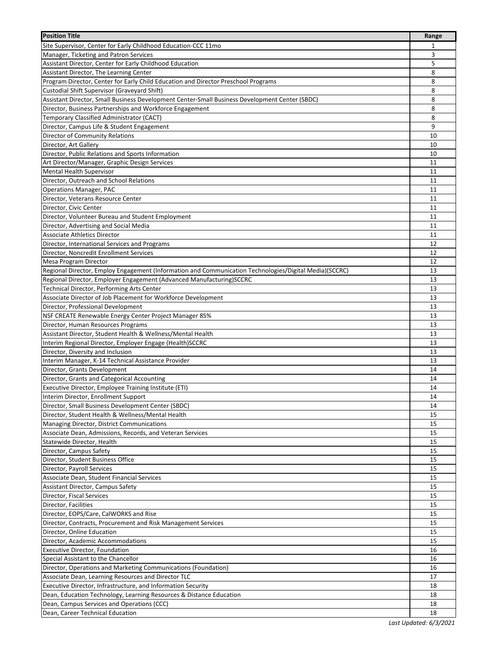| Site Supervisor, Center for Early Childhood Education-CCC 11mo<br>1<br>3<br>Assistant Director, Center for Early Childhood Education<br>5<br>8<br>8<br>8<br>8<br>8<br>8<br>9<br>10<br>10<br>10<br>11<br>11<br>11<br>11<br>11<br>11<br>11<br>11<br>11<br>12<br>12<br>12<br>13<br>13<br>13<br>13<br>Director, Professional Development<br>13<br>NSF CREATE Renewable Energy Center Project Manager 85%<br>13<br>Director, Human Resources Programs<br>13<br>Assistant Director, Student Health & Wellness/Mental Health<br>13<br>Interim Regional Director, Employer Engage (Health)SCCRC<br>13<br>Director, Diversity and Inclusion<br>13<br>Interim Manager, K-14 Technical Assistance Provider<br>13<br>Director, Grants Development<br>14<br>Director, Grants and Categorical Accounting<br>14<br>Executive Director, Employee Training Institute (ETI)<br>14<br>14<br>Interim Director, Enrollment Support<br>Director, Small Business Development Center (SBDC)<br>14<br>Director, Student Health & Wellness/Mental Health<br>15<br>Managing Director, District Communications<br>15<br>Associate Dean, Admissions, Records, and Veteran Services<br>15<br>Statewide Director, Health<br>15<br>Director, Campus Safety<br>15<br>Director, Student Business Office<br>15<br>Director, Payroll Services<br>15<br>Associate Dean, Student Financial Services<br>15<br>Assistant Director, Campus Safety<br>15<br>Director, Fiscal Services<br>15<br>15<br>Director, Facilities<br>Director, EOPS/Care, CalWORKS and Rise<br>15<br>Director, Contracts, Procurement and Risk Management Services<br>15<br>15<br>Director, Academic Accommodations<br>15<br>16<br>16<br>Director, Operations and Marketing Communications (Foundation)<br>16<br>17<br>18<br>18 | <b>Position Title</b>                                                                                  | Range |
|---------------------------------------------------------------------------------------------------------------------------------------------------------------------------------------------------------------------------------------------------------------------------------------------------------------------------------------------------------------------------------------------------------------------------------------------------------------------------------------------------------------------------------------------------------------------------------------------------------------------------------------------------------------------------------------------------------------------------------------------------------------------------------------------------------------------------------------------------------------------------------------------------------------------------------------------------------------------------------------------------------------------------------------------------------------------------------------------------------------------------------------------------------------------------------------------------------------------------------------------------------------------------------------------------------------------------------------------------------------------------------------------------------------------------------------------------------------------------------------------------------------------------------------------------------------------------------------------------------------------------------------------------------------------------------------------------------------------------------------------------------------|--------------------------------------------------------------------------------------------------------|-------|
|                                                                                                                                                                                                                                                                                                                                                                                                                                                                                                                                                                                                                                                                                                                                                                                                                                                                                                                                                                                                                                                                                                                                                                                                                                                                                                                                                                                                                                                                                                                                                                                                                                                                                                                                                               |                                                                                                        |       |
|                                                                                                                                                                                                                                                                                                                                                                                                                                                                                                                                                                                                                                                                                                                                                                                                                                                                                                                                                                                                                                                                                                                                                                                                                                                                                                                                                                                                                                                                                                                                                                                                                                                                                                                                                               | Manager, Ticketing and Patron Services                                                                 |       |
|                                                                                                                                                                                                                                                                                                                                                                                                                                                                                                                                                                                                                                                                                                                                                                                                                                                                                                                                                                                                                                                                                                                                                                                                                                                                                                                                                                                                                                                                                                                                                                                                                                                                                                                                                               |                                                                                                        |       |
|                                                                                                                                                                                                                                                                                                                                                                                                                                                                                                                                                                                                                                                                                                                                                                                                                                                                                                                                                                                                                                                                                                                                                                                                                                                                                                                                                                                                                                                                                                                                                                                                                                                                                                                                                               | Assistant Director, The Learning Center                                                                |       |
|                                                                                                                                                                                                                                                                                                                                                                                                                                                                                                                                                                                                                                                                                                                                                                                                                                                                                                                                                                                                                                                                                                                                                                                                                                                                                                                                                                                                                                                                                                                                                                                                                                                                                                                                                               | Program Director, Center for Early Child Education and Director Preschool Programs                     |       |
|                                                                                                                                                                                                                                                                                                                                                                                                                                                                                                                                                                                                                                                                                                                                                                                                                                                                                                                                                                                                                                                                                                                                                                                                                                                                                                                                                                                                                                                                                                                                                                                                                                                                                                                                                               | Custodial Shift Supervisor (Graveyard Shift)                                                           |       |
|                                                                                                                                                                                                                                                                                                                                                                                                                                                                                                                                                                                                                                                                                                                                                                                                                                                                                                                                                                                                                                                                                                                                                                                                                                                                                                                                                                                                                                                                                                                                                                                                                                                                                                                                                               | Assistant Director, Small Business Development Center-Small Business Development Center (SBDC)         |       |
|                                                                                                                                                                                                                                                                                                                                                                                                                                                                                                                                                                                                                                                                                                                                                                                                                                                                                                                                                                                                                                                                                                                                                                                                                                                                                                                                                                                                                                                                                                                                                                                                                                                                                                                                                               | Director, Business Partnerships and Workforce Engagement                                               |       |
|                                                                                                                                                                                                                                                                                                                                                                                                                                                                                                                                                                                                                                                                                                                                                                                                                                                                                                                                                                                                                                                                                                                                                                                                                                                                                                                                                                                                                                                                                                                                                                                                                                                                                                                                                               | Temporary Classified Administrator (CACT)                                                              |       |
|                                                                                                                                                                                                                                                                                                                                                                                                                                                                                                                                                                                                                                                                                                                                                                                                                                                                                                                                                                                                                                                                                                                                                                                                                                                                                                                                                                                                                                                                                                                                                                                                                                                                                                                                                               | Director, Campus Life & Student Engagement                                                             |       |
|                                                                                                                                                                                                                                                                                                                                                                                                                                                                                                                                                                                                                                                                                                                                                                                                                                                                                                                                                                                                                                                                                                                                                                                                                                                                                                                                                                                                                                                                                                                                                                                                                                                                                                                                                               | <b>Director of Community Relations</b>                                                                 |       |
|                                                                                                                                                                                                                                                                                                                                                                                                                                                                                                                                                                                                                                                                                                                                                                                                                                                                                                                                                                                                                                                                                                                                                                                                                                                                                                                                                                                                                                                                                                                                                                                                                                                                                                                                                               | Director, Art Gallery                                                                                  |       |
|                                                                                                                                                                                                                                                                                                                                                                                                                                                                                                                                                                                                                                                                                                                                                                                                                                                                                                                                                                                                                                                                                                                                                                                                                                                                                                                                                                                                                                                                                                                                                                                                                                                                                                                                                               | Director, Public Relations and Sports Information                                                      |       |
|                                                                                                                                                                                                                                                                                                                                                                                                                                                                                                                                                                                                                                                                                                                                                                                                                                                                                                                                                                                                                                                                                                                                                                                                                                                                                                                                                                                                                                                                                                                                                                                                                                                                                                                                                               | Art Director/Manager, Graphic Design Services                                                          |       |
|                                                                                                                                                                                                                                                                                                                                                                                                                                                                                                                                                                                                                                                                                                                                                                                                                                                                                                                                                                                                                                                                                                                                                                                                                                                                                                                                                                                                                                                                                                                                                                                                                                                                                                                                                               | <b>Mental Health Supervisor</b>                                                                        |       |
|                                                                                                                                                                                                                                                                                                                                                                                                                                                                                                                                                                                                                                                                                                                                                                                                                                                                                                                                                                                                                                                                                                                                                                                                                                                                                                                                                                                                                                                                                                                                                                                                                                                                                                                                                               | Director, Outreach and School Relations                                                                |       |
|                                                                                                                                                                                                                                                                                                                                                                                                                                                                                                                                                                                                                                                                                                                                                                                                                                                                                                                                                                                                                                                                                                                                                                                                                                                                                                                                                                                                                                                                                                                                                                                                                                                                                                                                                               | <b>Operations Manager, PAC</b>                                                                         |       |
|                                                                                                                                                                                                                                                                                                                                                                                                                                                                                                                                                                                                                                                                                                                                                                                                                                                                                                                                                                                                                                                                                                                                                                                                                                                                                                                                                                                                                                                                                                                                                                                                                                                                                                                                                               | Director, Veterans Resource Center                                                                     |       |
|                                                                                                                                                                                                                                                                                                                                                                                                                                                                                                                                                                                                                                                                                                                                                                                                                                                                                                                                                                                                                                                                                                                                                                                                                                                                                                                                                                                                                                                                                                                                                                                                                                                                                                                                                               | Director, Civic Center                                                                                 |       |
|                                                                                                                                                                                                                                                                                                                                                                                                                                                                                                                                                                                                                                                                                                                                                                                                                                                                                                                                                                                                                                                                                                                                                                                                                                                                                                                                                                                                                                                                                                                                                                                                                                                                                                                                                               | Director, Volunteer Bureau and Student Employment                                                      |       |
|                                                                                                                                                                                                                                                                                                                                                                                                                                                                                                                                                                                                                                                                                                                                                                                                                                                                                                                                                                                                                                                                                                                                                                                                                                                                                                                                                                                                                                                                                                                                                                                                                                                                                                                                                               | Director, Advertising and Social Media                                                                 |       |
|                                                                                                                                                                                                                                                                                                                                                                                                                                                                                                                                                                                                                                                                                                                                                                                                                                                                                                                                                                                                                                                                                                                                                                                                                                                                                                                                                                                                                                                                                                                                                                                                                                                                                                                                                               | Associate Athletics Director                                                                           |       |
|                                                                                                                                                                                                                                                                                                                                                                                                                                                                                                                                                                                                                                                                                                                                                                                                                                                                                                                                                                                                                                                                                                                                                                                                                                                                                                                                                                                                                                                                                                                                                                                                                                                                                                                                                               | Director, International Services and Programs                                                          |       |
|                                                                                                                                                                                                                                                                                                                                                                                                                                                                                                                                                                                                                                                                                                                                                                                                                                                                                                                                                                                                                                                                                                                                                                                                                                                                                                                                                                                                                                                                                                                                                                                                                                                                                                                                                               | Director, Noncredit Enrollment Services                                                                |       |
|                                                                                                                                                                                                                                                                                                                                                                                                                                                                                                                                                                                                                                                                                                                                                                                                                                                                                                                                                                                                                                                                                                                                                                                                                                                                                                                                                                                                                                                                                                                                                                                                                                                                                                                                                               | Mesa Program Director                                                                                  |       |
|                                                                                                                                                                                                                                                                                                                                                                                                                                                                                                                                                                                                                                                                                                                                                                                                                                                                                                                                                                                                                                                                                                                                                                                                                                                                                                                                                                                                                                                                                                                                                                                                                                                                                                                                                               | Regional Director, Employ Engagement (Information and Communication Technologies/Digital Media)(SCCRC) |       |
|                                                                                                                                                                                                                                                                                                                                                                                                                                                                                                                                                                                                                                                                                                                                                                                                                                                                                                                                                                                                                                                                                                                                                                                                                                                                                                                                                                                                                                                                                                                                                                                                                                                                                                                                                               | Regional Director, Employer Engagement (Advanced Manufacturing)SCCRC                                   |       |
|                                                                                                                                                                                                                                                                                                                                                                                                                                                                                                                                                                                                                                                                                                                                                                                                                                                                                                                                                                                                                                                                                                                                                                                                                                                                                                                                                                                                                                                                                                                                                                                                                                                                                                                                                               | Technical Director, Performing Arts Center                                                             |       |
|                                                                                                                                                                                                                                                                                                                                                                                                                                                                                                                                                                                                                                                                                                                                                                                                                                                                                                                                                                                                                                                                                                                                                                                                                                                                                                                                                                                                                                                                                                                                                                                                                                                                                                                                                               | Associate Director of Job Placement for Workforce Development                                          |       |
|                                                                                                                                                                                                                                                                                                                                                                                                                                                                                                                                                                                                                                                                                                                                                                                                                                                                                                                                                                                                                                                                                                                                                                                                                                                                                                                                                                                                                                                                                                                                                                                                                                                                                                                                                               |                                                                                                        |       |
|                                                                                                                                                                                                                                                                                                                                                                                                                                                                                                                                                                                                                                                                                                                                                                                                                                                                                                                                                                                                                                                                                                                                                                                                                                                                                                                                                                                                                                                                                                                                                                                                                                                                                                                                                               |                                                                                                        |       |
|                                                                                                                                                                                                                                                                                                                                                                                                                                                                                                                                                                                                                                                                                                                                                                                                                                                                                                                                                                                                                                                                                                                                                                                                                                                                                                                                                                                                                                                                                                                                                                                                                                                                                                                                                               |                                                                                                        |       |
|                                                                                                                                                                                                                                                                                                                                                                                                                                                                                                                                                                                                                                                                                                                                                                                                                                                                                                                                                                                                                                                                                                                                                                                                                                                                                                                                                                                                                                                                                                                                                                                                                                                                                                                                                               |                                                                                                        |       |
|                                                                                                                                                                                                                                                                                                                                                                                                                                                                                                                                                                                                                                                                                                                                                                                                                                                                                                                                                                                                                                                                                                                                                                                                                                                                                                                                                                                                                                                                                                                                                                                                                                                                                                                                                               |                                                                                                        |       |
|                                                                                                                                                                                                                                                                                                                                                                                                                                                                                                                                                                                                                                                                                                                                                                                                                                                                                                                                                                                                                                                                                                                                                                                                                                                                                                                                                                                                                                                                                                                                                                                                                                                                                                                                                               |                                                                                                        |       |
|                                                                                                                                                                                                                                                                                                                                                                                                                                                                                                                                                                                                                                                                                                                                                                                                                                                                                                                                                                                                                                                                                                                                                                                                                                                                                                                                                                                                                                                                                                                                                                                                                                                                                                                                                               |                                                                                                        |       |
|                                                                                                                                                                                                                                                                                                                                                                                                                                                                                                                                                                                                                                                                                                                                                                                                                                                                                                                                                                                                                                                                                                                                                                                                                                                                                                                                                                                                                                                                                                                                                                                                                                                                                                                                                               |                                                                                                        |       |
|                                                                                                                                                                                                                                                                                                                                                                                                                                                                                                                                                                                                                                                                                                                                                                                                                                                                                                                                                                                                                                                                                                                                                                                                                                                                                                                                                                                                                                                                                                                                                                                                                                                                                                                                                               |                                                                                                        |       |
|                                                                                                                                                                                                                                                                                                                                                                                                                                                                                                                                                                                                                                                                                                                                                                                                                                                                                                                                                                                                                                                                                                                                                                                                                                                                                                                                                                                                                                                                                                                                                                                                                                                                                                                                                               |                                                                                                        |       |
|                                                                                                                                                                                                                                                                                                                                                                                                                                                                                                                                                                                                                                                                                                                                                                                                                                                                                                                                                                                                                                                                                                                                                                                                                                                                                                                                                                                                                                                                                                                                                                                                                                                                                                                                                               |                                                                                                        |       |
|                                                                                                                                                                                                                                                                                                                                                                                                                                                                                                                                                                                                                                                                                                                                                                                                                                                                                                                                                                                                                                                                                                                                                                                                                                                                                                                                                                                                                                                                                                                                                                                                                                                                                                                                                               |                                                                                                        |       |
|                                                                                                                                                                                                                                                                                                                                                                                                                                                                                                                                                                                                                                                                                                                                                                                                                                                                                                                                                                                                                                                                                                                                                                                                                                                                                                                                                                                                                                                                                                                                                                                                                                                                                                                                                               |                                                                                                        |       |
|                                                                                                                                                                                                                                                                                                                                                                                                                                                                                                                                                                                                                                                                                                                                                                                                                                                                                                                                                                                                                                                                                                                                                                                                                                                                                                                                                                                                                                                                                                                                                                                                                                                                                                                                                               |                                                                                                        |       |
|                                                                                                                                                                                                                                                                                                                                                                                                                                                                                                                                                                                                                                                                                                                                                                                                                                                                                                                                                                                                                                                                                                                                                                                                                                                                                                                                                                                                                                                                                                                                                                                                                                                                                                                                                               |                                                                                                        |       |
|                                                                                                                                                                                                                                                                                                                                                                                                                                                                                                                                                                                                                                                                                                                                                                                                                                                                                                                                                                                                                                                                                                                                                                                                                                                                                                                                                                                                                                                                                                                                                                                                                                                                                                                                                               |                                                                                                        |       |
|                                                                                                                                                                                                                                                                                                                                                                                                                                                                                                                                                                                                                                                                                                                                                                                                                                                                                                                                                                                                                                                                                                                                                                                                                                                                                                                                                                                                                                                                                                                                                                                                                                                                                                                                                               |                                                                                                        |       |
|                                                                                                                                                                                                                                                                                                                                                                                                                                                                                                                                                                                                                                                                                                                                                                                                                                                                                                                                                                                                                                                                                                                                                                                                                                                                                                                                                                                                                                                                                                                                                                                                                                                                                                                                                               |                                                                                                        |       |
|                                                                                                                                                                                                                                                                                                                                                                                                                                                                                                                                                                                                                                                                                                                                                                                                                                                                                                                                                                                                                                                                                                                                                                                                                                                                                                                                                                                                                                                                                                                                                                                                                                                                                                                                                               |                                                                                                        |       |
|                                                                                                                                                                                                                                                                                                                                                                                                                                                                                                                                                                                                                                                                                                                                                                                                                                                                                                                                                                                                                                                                                                                                                                                                                                                                                                                                                                                                                                                                                                                                                                                                                                                                                                                                                               |                                                                                                        |       |
|                                                                                                                                                                                                                                                                                                                                                                                                                                                                                                                                                                                                                                                                                                                                                                                                                                                                                                                                                                                                                                                                                                                                                                                                                                                                                                                                                                                                                                                                                                                                                                                                                                                                                                                                                               |                                                                                                        |       |
|                                                                                                                                                                                                                                                                                                                                                                                                                                                                                                                                                                                                                                                                                                                                                                                                                                                                                                                                                                                                                                                                                                                                                                                                                                                                                                                                                                                                                                                                                                                                                                                                                                                                                                                                                               |                                                                                                        |       |
|                                                                                                                                                                                                                                                                                                                                                                                                                                                                                                                                                                                                                                                                                                                                                                                                                                                                                                                                                                                                                                                                                                                                                                                                                                                                                                                                                                                                                                                                                                                                                                                                                                                                                                                                                               |                                                                                                        |       |
|                                                                                                                                                                                                                                                                                                                                                                                                                                                                                                                                                                                                                                                                                                                                                                                                                                                                                                                                                                                                                                                                                                                                                                                                                                                                                                                                                                                                                                                                                                                                                                                                                                                                                                                                                               |                                                                                                        |       |
|                                                                                                                                                                                                                                                                                                                                                                                                                                                                                                                                                                                                                                                                                                                                                                                                                                                                                                                                                                                                                                                                                                                                                                                                                                                                                                                                                                                                                                                                                                                                                                                                                                                                                                                                                               | Director, Online Education                                                                             |       |
|                                                                                                                                                                                                                                                                                                                                                                                                                                                                                                                                                                                                                                                                                                                                                                                                                                                                                                                                                                                                                                                                                                                                                                                                                                                                                                                                                                                                                                                                                                                                                                                                                                                                                                                                                               |                                                                                                        |       |
|                                                                                                                                                                                                                                                                                                                                                                                                                                                                                                                                                                                                                                                                                                                                                                                                                                                                                                                                                                                                                                                                                                                                                                                                                                                                                                                                                                                                                                                                                                                                                                                                                                                                                                                                                               | <b>Executive Director, Foundation</b>                                                                  |       |
|                                                                                                                                                                                                                                                                                                                                                                                                                                                                                                                                                                                                                                                                                                                                                                                                                                                                                                                                                                                                                                                                                                                                                                                                                                                                                                                                                                                                                                                                                                                                                                                                                                                                                                                                                               | Special Assistant to the Chancellor                                                                    |       |
|                                                                                                                                                                                                                                                                                                                                                                                                                                                                                                                                                                                                                                                                                                                                                                                                                                                                                                                                                                                                                                                                                                                                                                                                                                                                                                                                                                                                                                                                                                                                                                                                                                                                                                                                                               |                                                                                                        |       |
|                                                                                                                                                                                                                                                                                                                                                                                                                                                                                                                                                                                                                                                                                                                                                                                                                                                                                                                                                                                                                                                                                                                                                                                                                                                                                                                                                                                                                                                                                                                                                                                                                                                                                                                                                               | Associate Dean, Learning Resources and Director TLC                                                    |       |
|                                                                                                                                                                                                                                                                                                                                                                                                                                                                                                                                                                                                                                                                                                                                                                                                                                                                                                                                                                                                                                                                                                                                                                                                                                                                                                                                                                                                                                                                                                                                                                                                                                                                                                                                                               | Executive Director, Infrastructure, and Information Security                                           |       |
|                                                                                                                                                                                                                                                                                                                                                                                                                                                                                                                                                                                                                                                                                                                                                                                                                                                                                                                                                                                                                                                                                                                                                                                                                                                                                                                                                                                                                                                                                                                                                                                                                                                                                                                                                               | Dean, Education Technology, Learning Resources & Distance Education                                    |       |
|                                                                                                                                                                                                                                                                                                                                                                                                                                                                                                                                                                                                                                                                                                                                                                                                                                                                                                                                                                                                                                                                                                                                                                                                                                                                                                                                                                                                                                                                                                                                                                                                                                                                                                                                                               | Dean, Campus Services and Operations (CCC)                                                             | 18    |
| 18                                                                                                                                                                                                                                                                                                                                                                                                                                                                                                                                                                                                                                                                                                                                                                                                                                                                                                                                                                                                                                                                                                                                                                                                                                                                                                                                                                                                                                                                                                                                                                                                                                                                                                                                                            | Dean, Career Technical Education                                                                       |       |